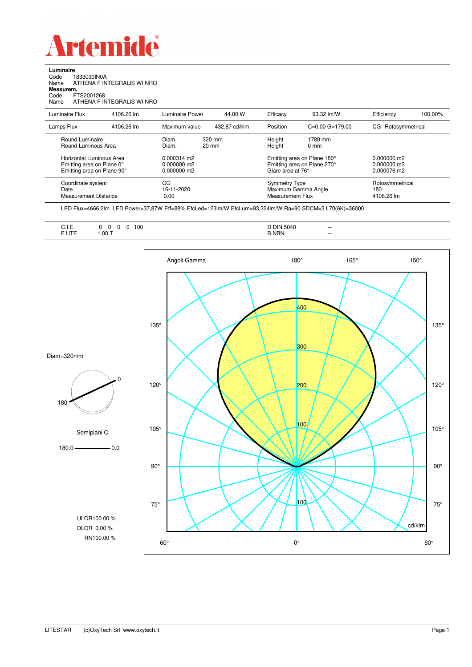

**Luminaire**

| 1833030IN0A<br>Code<br>Name<br>Measurem.<br>FTS2001268<br>Code<br>Name              | ATHENA F INTEGRALIS WI NRO<br>ATHENA F INTEGRALIS WI NRO |                                                    |               |                                                                                 |                            |                                             |         |
|-------------------------------------------------------------------------------------|----------------------------------------------------------|----------------------------------------------------|---------------|---------------------------------------------------------------------------------|----------------------------|---------------------------------------------|---------|
| Luminaire Flux                                                                      | 4106.26 lm                                               | Luminaire Power                                    | 44.00 W       | Efficacy                                                                        | 93.32 lm/W                 | Efficiency                                  | 100.00% |
| Lamps Flux                                                                          | 4106.26 lm                                               | Maximum value                                      | 432.87 cd/klm | Position                                                                        | $C=0.00$ $G=179.00$        | CG Rotosymmetrical                          |         |
| Round Luminaire<br>Round Luminous Area                                              |                                                          | 320 mm<br>Diam.<br>$20 \text{ mm}$<br>Diam.        |               | Height<br>Height                                                                | 1780 mm<br>0 <sub>mm</sub> |                                             |         |
| Horizontal Luminous Area<br>Emitting area on Plane 0°<br>Emitting area on Plane 90° |                                                          | $0.000314 \text{ m}$<br>0.000000 m2<br>0.000000 m2 |               | Emitting area on Plane 180°<br>Emitting area on Plane 270°<br>Glare area at 76° |                            | $0.000000$ m2<br>0.000000 m2<br>0.000076 m2 |         |
| Coordinate system<br>Date<br><b>Measurement Distance</b>                            |                                                          | CG<br>16-11-2020<br>0.00                           |               | <b>Symmetry Type</b><br>Maximum Gamma Angle<br><b>Measurement Flux</b>          |                            | Rotosymmetrical<br>180<br>4106.26 lm        |         |

-37,87W Eff=88% EfcLed=123lm/W EfcLum=93,324lm/W Ra=90 SDCM=3 L70(6K)=36000